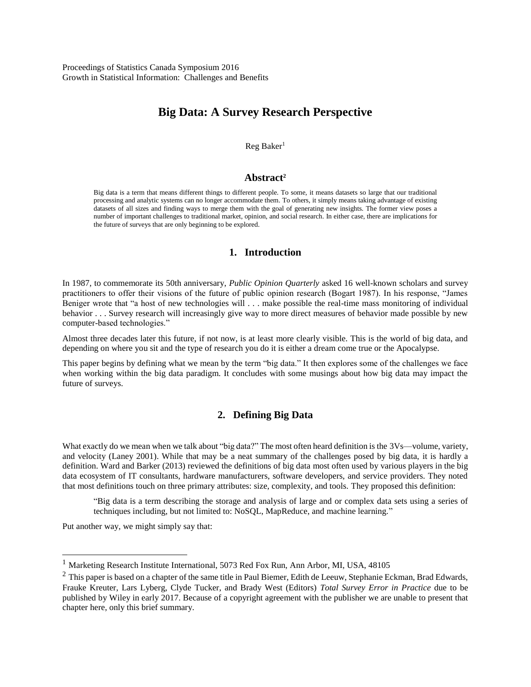# **Big Data: A Survey Research Perspective**

Reg Baker<sup>1</sup>

#### **Abstract<sup>2</sup>**

Big data is a term that means different things to different people. To some, it means datasets so large that our traditional processing and analytic systems can no longer accommodate them. To others, it simply means taking advantage of existing datasets of all sizes and finding ways to merge them with the goal of generating new insights. The former view poses a number of important challenges to traditional market, opinion, and social research. In either case, there are implications for the future of surveys that are only beginning to be explored.

#### **1. Introduction**

In 1987, to commemorate its 50th anniversary, *Public Opinion Quarterly* asked 16 well-known scholars and survey practitioners to offer their visions of the future of public opinion research (Bogart 1987). In his response, "James Beniger wrote that "a host of new technologies will . . . make possible the real-time mass monitoring of individual behavior . . . Survey research will increasingly give way to more direct measures of behavior made possible by new computer-based technologies."

Almost three decades later this future, if not now, is at least more clearly visible. This is the world of big data, and depending on where you sit and the type of research you do it is either a dream come true or the Apocalypse.

This paper begins by defining what we mean by the term "big data." It then explores some of the challenges we face when working within the big data paradigm. It concludes with some musings about how big data may impact the future of surveys.

### **2. Defining Big Data**

What exactly do we mean when we talk about "big data?" The most often heard definition is the 3Vs—volume, variety, and velocity (Laney 2001). While that may be a neat summary of the challenges posed by big data, it is hardly a definition. Ward and Barker (2013) reviewed the definitions of big data most often used by various players in the big data ecosystem of IT consultants, hardware manufacturers, software developers, and service providers. They noted that most definitions touch on three primary attributes: size, complexity, and tools. They proposed this definition:

"Big data is a term describing the storage and analysis of large and or complex data sets using a series of techniques including, but not limited to: NoSQL, MapReduce, and machine learning."

Put another way, we might simply say that:

 $\overline{a}$ 

<sup>&</sup>lt;sup>1</sup> Marketing Research Institute International, 5073 Red Fox Run, Ann Arbor, MI, USA, 48105

 $2$  This paper is based on a chapter of the same title in Paul Biemer, Edith de Leeuw, Stephanie Eckman, Brad Edwards, Frauke Kreuter, Lars Lyberg, Clyde Tucker, and Brady West (Editors) *Total Survey Error in Practice* due to be published by Wiley in early 2017. Because of a copyright agreement with the publisher we are unable to present that chapter here, only this brief summary.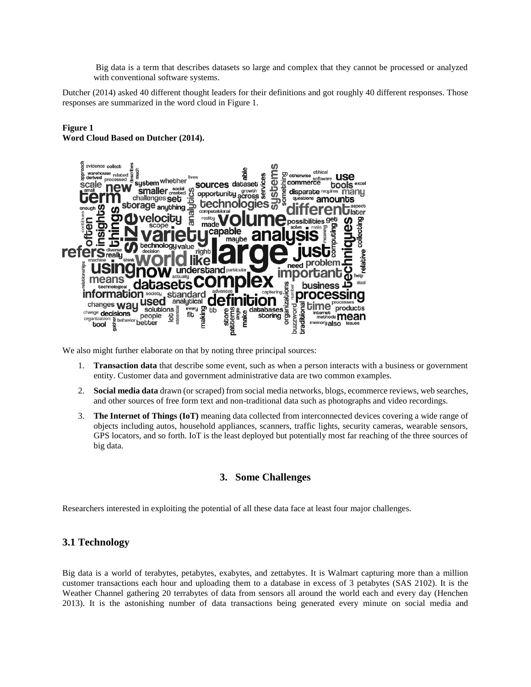Big data is a term that describes datasets so large and complex that they cannot be processed or analyzed with conventional software systems.

Dutcher (2014) asked 40 different thought leaders for their definitions and got roughly 40 different responses. Those responses are summarized in the word cloud in Figure 1.

#### **Figure 1 Word Cloud Based on Dutcher (2014).**



We also might further elaborate on that by noting three principal sources:

- 1. **Transaction data** that describe some event, such as when a person interacts with a business or government entity. Customer data and government administrative data are two common examples.
- 2. **Social media data** drawn (or scraped) from social media networks, blogs, ecommerce reviews, web searches, and other sources of free form text and non-traditional data such as photographs and video recordings.
- 3. **The Internet of Things (IoT)** meaning data collected from interconnected devices covering a wide range of objects including autos, household appliances, scanners, traffic lights, security cameras, wearable sensors, GPS locators, and so forth. IoT is the least deployed but potentially most far reaching of the three sources of big data.

# **3. Some Challenges**

Researchers interested in exploiting the potential of all these data face at least four major challenges.

# **3.1 Technology**

Big data is a world of terabytes, petabytes, exabytes, and zettabytes. It is Walmart capturing more than a million customer transactions each hour and uploading them to a database in excess of 3 petabytes (SAS 2102). It is the Weather Channel gathering 20 terrabytes of data from sensors all around the world each and every day (Henchen 2013). It is the astonishing number of data transactions being generated every minute on social media and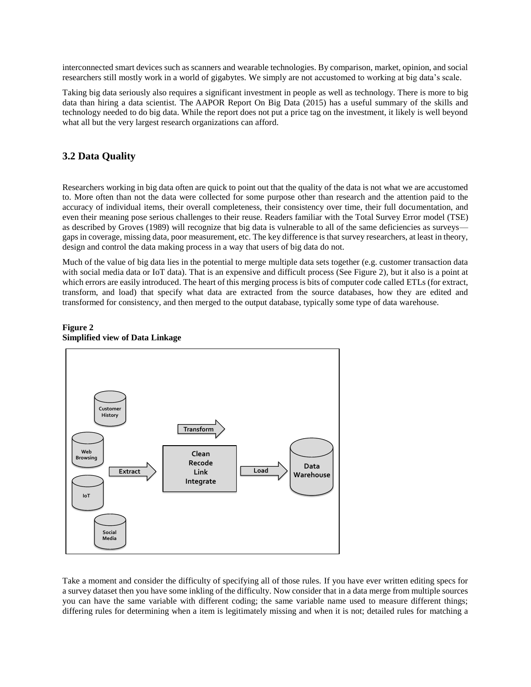interconnected smart devices such as scanners and wearable technologies. By comparison, market, opinion, and social researchers still mostly work in a world of gigabytes. We simply are not accustomed to working at big data's scale.

Taking big data seriously also requires a significant investment in people as well as technology. There is more to big data than hiring a data scientist. The AAPOR Report On Big Data (2015) has a useful summary of the skills and technology needed to do big data. While the report does not put a price tag on the investment, it likely is well beyond what all but the very largest research organizations can afford.

### **3.2 Data Quality**

Researchers working in big data often are quick to point out that the quality of the data is not what we are accustomed to. More often than not the data were collected for some purpose other than research and the attention paid to the accuracy of individual items, their overall completeness, their consistency over time, their full documentation, and even their meaning pose serious challenges to their reuse. Readers familiar with the Total Survey Error model (TSE) as described by Groves (1989) will recognize that big data is vulnerable to all of the same deficiencies as surveys gaps in coverage, missing data, poor measurement, etc. The key difference is that survey researchers, at least in theory, design and control the data making process in a way that users of big data do not.

Much of the value of big data lies in the potential to merge multiple data sets together (e.g. customer transaction data with social media data or IoT data). That is an expensive and difficult process (See Figure 2), but it also is a point at which errors are easily introduced. The heart of this merging process is bits of computer code called ETLs (for extract, transform, and load) that specify what data are extracted from the source databases, how they are edited and transformed for consistency, and then merged to the output database, typically some type of data warehouse.

#### **Figure 2 Simplified view of Data Linkage**



Take a moment and consider the difficulty of specifying all of those rules. If you have ever written editing specs for a survey dataset then you have some inkling of the difficulty. Now consider that in a data merge from multiple sources you can have the same variable with different coding; the same variable name used to measure different things; differing rules for determining when a item is legitimately missing and when it is not; detailed rules for matching a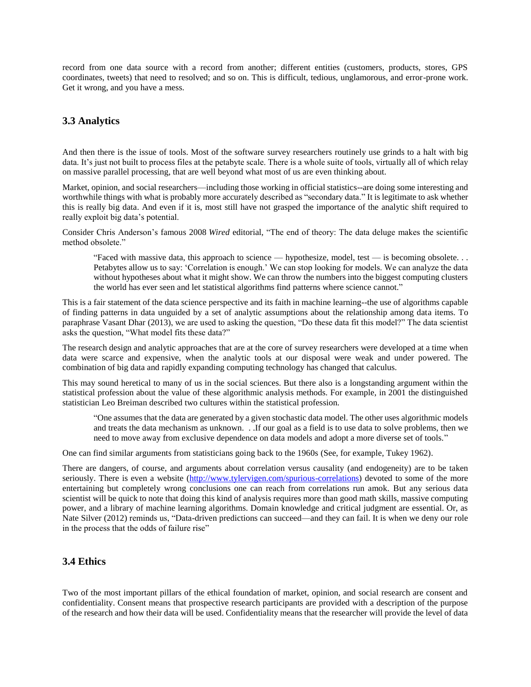record from one data source with a record from another; different entities (customers, products, stores, GPS coordinates, tweets) that need to resolved; and so on. This is difficult, tedious, unglamorous, and error-prone work. Get it wrong, and you have a mess.

### **3.3 Analytics**

And then there is the issue of tools. Most of the software survey researchers routinely use grinds to a halt with big data. It's just not built to process files at the petabyte scale. There is a whole suite of tools, virtually all of which relay on massive parallel processing, that are well beyond what most of us are even thinking about.

Market, opinion, and social researchers—including those working in official statistics--are doing some interesting and worthwhile things with what is probably more accurately described as "secondary data." It is legitimate to ask whether this is really big data. And even if it is, most still have not grasped the importance of the analytic shift required to really exploit big data's potential.

Consider Chris Anderson's famous 2008 *Wired* editorial, "The end of theory: The data deluge makes the scientific method obsolete."

"Faced with massive data, this approach to science — hypothesize, model, test — is becoming obsolete. . . Petabytes allow us to say: 'Correlation is enough.' We can stop looking for models. We can analyze the data without hypotheses about what it might show. We can throw the numbers into the biggest computing clusters the world has ever seen and let statistical algorithms find patterns where science cannot."

This is a fair statement of the data science perspective and its faith in machine learning--the use of algorithms capable of finding patterns in data unguided by a set of analytic assumptions about the relationship among data items. To paraphrase Vasant Dhar (2013), we are used to asking the question, "Do these data fit this model?" The data scientist asks the question, "What model fits these data?"

The research design and analytic approaches that are at the core of survey researchers were developed at a time when data were scarce and expensive, when the analytic tools at our disposal were weak and under powered. The combination of big data and rapidly expanding computing technology has changed that calculus.

This may sound heretical to many of us in the social sciences. But there also is a longstanding argument within the statistical profession about the value of these algorithmic analysis methods. For example, in 2001 the distinguished statistician Leo Breiman described two cultures within the statistical profession.

"One assumes that the data are generated by a given stochastic data model. The other uses algorithmic models and treats the data mechanism as unknown. . .If our goal as a field is to use data to solve problems, then we need to move away from exclusive dependence on data models and adopt a more diverse set of tools."

One can find similar arguments from statisticians going back to the 1960s (See, for example, Tukey 1962).

There are dangers, of course, and arguments about correlation versus causality (and endogeneity) are to be taken seriously. There is even a website [\(http://www.tylervigen.com/spurious-correlations\)](http://www.tylervigen.com/spurious-correlations) devoted to some of the more entertaining but completely wrong conclusions one can reach from correlations run amok. But any serious data scientist will be quick to note that doing this kind of analysis requires more than good math skills, massive computing power, and a library of machine learning algorithms. Domain knowledge and critical judgment are essential. Or, as Nate Silver (2012) reminds us, "Data-driven predictions can succeed—and they can fail. It is when we deny our role in the process that the odds of failure rise"

#### **3.4 Ethics**

Two of the most important pillars of the ethical foundation of market, opinion, and social research are consent and confidentiality. Consent means that prospective research participants are provided with a description of the purpose of the research and how their data will be used. Confidentiality means that the researcher will provide the level of data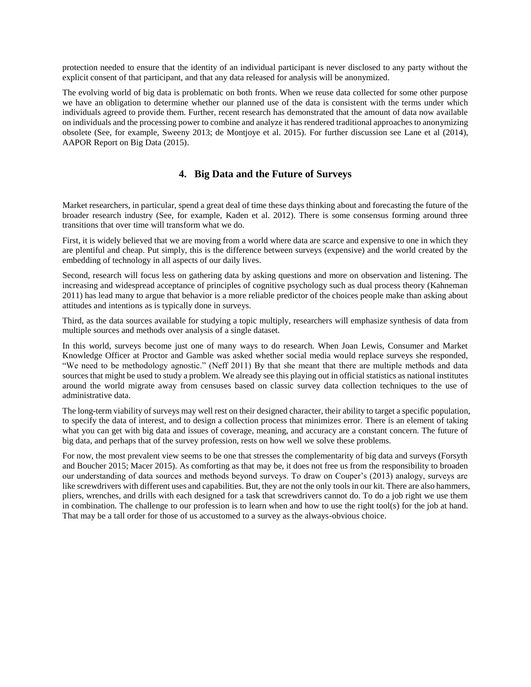protection needed to ensure that the identity of an individual participant is never disclosed to any party without the explicit consent of that participant, and that any data released for analysis will be anonymized.

The evolving world of big data is problematic on both fronts. When we reuse data collected for some other purpose we have an obligation to determine whether our planned use of the data is consistent with the terms under which individuals agreed to provide them. Further, recent research has demonstrated that the amount of data now available on individuals and the processing power to combine and analyze it has rendered traditional approaches to anonymizing obsolete (See, for example, Sweeny 2013; de Montjoye et al. 2015). For further discussion see Lane et al (2014), AAPOR Report on Big Data (2015).

### **4. Big Data and the Future of Surveys**

Market researchers, in particular, spend a great deal of time these days thinking about and forecasting the future of the broader research industry (See, for example, Kaden et al. 2012). There is some consensus forming around three transitions that over time will transform what we do.

First, it is widely believed that we are moving from a world where data are scarce and expensive to one in which they are plentiful and cheap. Put simply, this is the difference between surveys (expensive) and the world created by the embedding of technology in all aspects of our daily lives.

Second, research will focus less on gathering data by asking questions and more on observation and listening. The increasing and widespread acceptance of principles of cognitive psychology such as dual process theory (Kahneman 2011) has lead many to argue that behavior is a more reliable predictor of the choices people make than asking about attitudes and intentions as is typically done in surveys.

Third, as the data sources available for studying a topic multiply, researchers will emphasize synthesis of data from multiple sources and methods over analysis of a single dataset.

In this world, surveys become just one of many ways to do research. When Joan Lewis, Consumer and Market Knowledge Officer at Proctor and Gamble was asked whether social media would replace surveys she responded, "We need to be methodology agnostic." (Neff 2011) By that she meant that there are multiple methods and data sources that might be used to study a problem. We already see this playing out in official statistics as national institutes around the world migrate away from censuses based on classic survey data collection techniques to the use of administrative data.

The long-term viability of surveys may well rest on their designed character, their ability to target a specific population, to specify the data of interest, and to design a collection process that minimizes error. There is an element of taking what you can get with big data and issues of coverage, meaning, and accuracy are a constant concern. The future of big data, and perhaps that of the survey profession, rests on how well we solve these problems.

For now, the most prevalent view seems to be one that stresses the complementarity of big data and surveys (Forsyth and Boucher 2015; Macer 2015). As comforting as that may be, it does not free us from the responsibility to broaden our understanding of data sources and methods beyond surveys. To draw on Couper's (2013) analogy, surveys are like screwdrivers with different uses and capabilities. But, they are not the only tools in our kit. There are also hammers, pliers, wrenches, and drills with each designed for a task that screwdrivers cannot do. To do a job right we use them in combination. The challenge to our profession is to learn when and how to use the right tool(s) for the job at hand. That may be a tall order for those of us accustomed to a survey as the always-obvious choice.